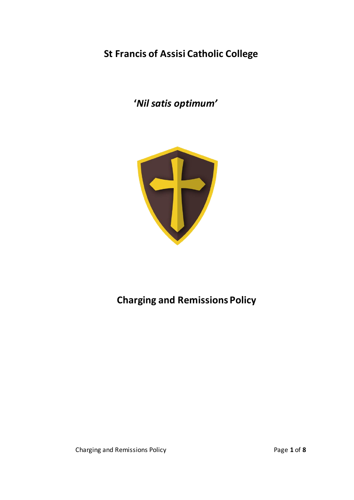# **St Francis of Assisi Catholic College**

 **'***Nil satis optimum'*



# **Charging and Remissions Policy**

Charging and Remissions Policy Page **1** of **8**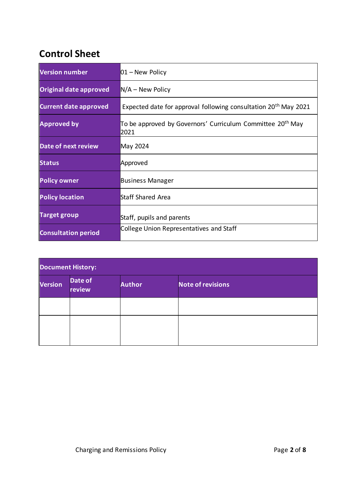# **Control Sheet**

| <b>Version number</b>        | $01 -$ New Policy                                                              |  |
|------------------------------|--------------------------------------------------------------------------------|--|
| Original date approved       | $N/A$ – New Policy                                                             |  |
| <b>Current date approved</b> | Expected date for approval following consultation 20 <sup>th</sup> May 2021    |  |
| <b>Approved by</b>           | To be approved by Governors' Curriculum Committee 20 <sup>th</sup> May<br>2021 |  |
| <b>Date of next review</b>   | May 2024                                                                       |  |
| <b>Status</b>                | Approved                                                                       |  |
| <b>Policy owner</b>          | <b>Business Manager</b>                                                        |  |
| <b>Policy location</b>       | Staff Shared Area                                                              |  |
| <b>Target group</b>          | Staff, pupils and parents                                                      |  |
| <b>Consultation period</b>   | College Union Representatives and Staff                                        |  |

| <b>Document History:</b> |                   |               |                          |  |  |  |
|--------------------------|-------------------|---------------|--------------------------|--|--|--|
| <b>Version</b>           | Date of<br>review | <b>Author</b> | <b>Note of revisions</b> |  |  |  |
|                          |                   |               |                          |  |  |  |
|                          |                   |               |                          |  |  |  |
|                          |                   |               |                          |  |  |  |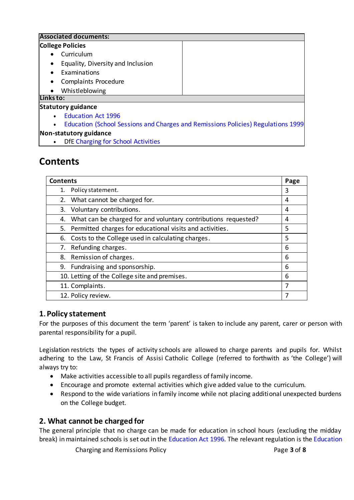|           | <b>Associated documents:</b>              |                                                                                  |  |  |  |
|-----------|-------------------------------------------|----------------------------------------------------------------------------------|--|--|--|
|           | <b>College Policies</b>                   |                                                                                  |  |  |  |
|           | Curriculum                                |                                                                                  |  |  |  |
|           | Equality, Diversity and Inclusion         |                                                                                  |  |  |  |
|           | Examinations                              |                                                                                  |  |  |  |
| $\bullet$ | <b>Complaints Procedure</b>               |                                                                                  |  |  |  |
|           | Whistleblowing                            |                                                                                  |  |  |  |
| Links to: |                                           |                                                                                  |  |  |  |
|           | <b>Statutory guidance</b>                 |                                                                                  |  |  |  |
|           | <b>Education Act 1996</b>                 |                                                                                  |  |  |  |
|           |                                           | Education (School Sessions and Charges and Remissions Policies) Regulations 1999 |  |  |  |
|           | Non-statutory guidance                    |                                                                                  |  |  |  |
|           | <b>DfE Charging for School Activities</b> |                                                                                  |  |  |  |

# **Contents**

| <b>Contents</b>                                                   |   |
|-------------------------------------------------------------------|---|
| 1. Policy statement.                                              | 3 |
| 2. What cannot be charged for.                                    | 4 |
| 3. Voluntary contributions.                                       | 4 |
| 4. What can be charged for and voluntary contributions requested? | 4 |
| 5. Permitted charges for educational visits and activities.       | 5 |
| Costs to the College used in calculating charges.<br>6.           | 5 |
| Refunding charges.<br>7.                                          | 6 |
| 8. Remission of charges.                                          | 6 |
| 9. Fundraising and sponsorship.                                   | 6 |
| 10. Letting of the College site and premises.                     | 6 |
| 11. Complaints.                                                   |   |
| 12. Policy review.                                                | 7 |

# **1. Policy statement**

For the purposes of this document the term 'parent' is taken to include any parent, carer or person with parental responsibility for a pupil.

Legislation restricts the types of activity schools are allowed to charge parents and pupils for. Whilst adhering to the Law, St Francis of Assisi Catholic College (referred to forthwith as 'the College') will always try to:

- Make activities accessible to all pupils regardless of family income.
- Encourage and promote external activities which give added value to the curriculum.
- Respond to the wide variations in family income while not placing additional unexpected burdens on the College budget.

# **2. What cannot be charged for**

The general principle that no charge can be made for education in school hours (excluding the midday break) in maintained schools is set out in the [Education Act 1996](https://www.legislation.gov.uk/ukpga/1996/56/contents)*.* The relevant regulation is th[e Education](https://www.legislation.gov.uk/uksi/1999/2255/contents/made) 

Charging and Remissions Policy Page **3** of **8**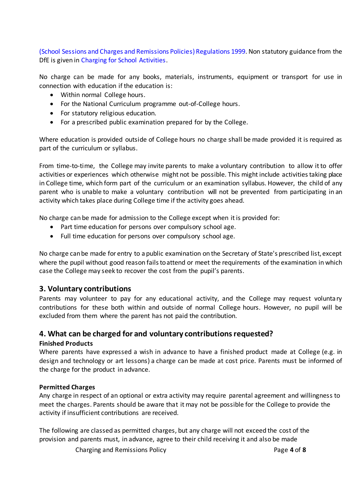[\(School Sessions and Charges and Remissions Policies\)](https://www.legislation.gov.uk/uksi/1999/2255/contents/made) Regulations 1999. Non statutory guidance from the DfE is given in [Charging for School Activities.](https://www.gov.uk/government/publications/charging-for-school-activities)

No charge can be made for any books, materials, instruments, equipment or transport for use in connection with education if the education is:

- Within normal College hours.
- For the National Curriculum programme out-of-College hours.
- For statutory religious education.
- For a prescribed public examination prepared for by the College.

Where education is provided outside of College hours no charge shall be made provided it is required as part of the curriculum or syllabus.

From time-to-time, the College may invite parents to make a voluntary contribution to allow it to offer activities or experiences which otherwise might not be possible. This might include activities taking place in College time, which form part of the curriculum or an examination syllabus. However, the child of any parent who is unable to make a voluntary contribution will not be prevented from participating in an activity which takes place during College time if the activity goes ahead.

No charge can be made for admission to the College except when it is provided for:

- Part time education for persons over compulsory school age.
- Full time education for persons over compulsory school age.

No charge can be made for entry to a public examination on the Secretary of State's prescribed list, except where the pupil without good reason fails to attend or meet the requirements of the examination in which case the College may seek to recover the cost from the pupil's parents.

#### **3. Voluntary contributions**

Parents may volunteer to pay for any educational activity, and the College may request voluntary contributions for these both within and outside of normal College hours. However, no pupil will be excluded from them where the parent has not paid the contribution.

#### **4. What can be charged for and voluntary contributions requested?**

#### **Finished Products**

Where parents have expressed a wish in advance to have a finished product made at College (e.g. in design and technology or art lessons) a charge can be made at cost price. Parents must be informed of the charge for the product in advance.

#### **Permitted Charges**

Any charge in respect of an optional or extra activity may require parental agreement and willingness to meet the charges. Parents should be aware that it may not be possible for the College to provide the activity if insufficient contributions are received.

The following are classed as permitted charges, but any charge will not exceed the cost of the provision and parents must, in advance, agree to their child receiving it and also be made

Charging and Remissions Policy Page **4** of **8**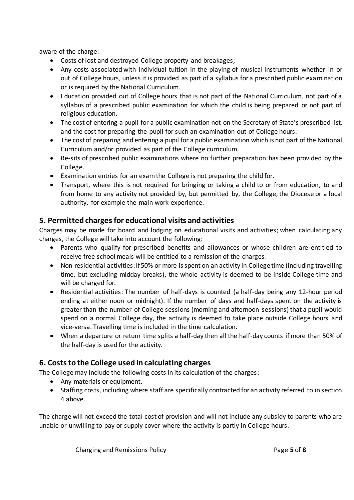aware of the charge:

- Costs of lost and destroyed College property and breakages;
- Any costs associated with individual tuition in the playing of musical instruments whether in or out of College hours, unless it is provided as part of a syllabus for a prescribed public examination or is required by the National Curriculum.
- Education provided out of College hours that is not part of the National Curriculum, not part of a syllabus of a prescribed public examination for which the child is being prepared or not part of religious education.
- The cost of entering a pupil for a public examination not on the Secretary of State's prescribed list, and the cost for preparing the pupil for such an examination out of College hours.
- The cost of preparing and entering a pupil for a public examination which is not part of the National Curriculum and/or provided as part of the College curriculum.
- Re-sits of prescribed public examinations where no further preparation has been provided by the College.
- Examination entries for an exam the College is not preparing the child for.
- Transport, where this is not required for bringing or taking a child to or from education, to and from home to any activity not provided by, but permitted by, the College, the Diocese or a local authority, for example the main work experience.

## **5. Permitted chargesfor educational visits and activities**

Charges may be made for board and lodging on educational visits and activities; when calculating any charges, the College will take into account the following:

- Parents who qualify for prescribed benefits and allowances or whose children are entitled to receive free school meals will be entitled to a remission of the charges.
- Non-residential activities: If 50% or more is spent on an activity in College time (including travelling time, but excluding midday breaks), the whole activity is deemed to be inside College time and will be charged for.
- Residential activities: The number of half-days is counted (a half-day being any 12-hour period ending at either noon or midnight). If the number of days and half-days spent on the activity is greater than the number of College sessions (morning and afternoon sessions) that a pupil would spend on a normal College day, the activity is deemed to take place outside College hours and vice-versa. Travelling time is included in the time calculation.
- When a departure or return time splits a half-day then all the half-day counts if more than 50% of the half-day is used for the activity.

# **6. Costs to the College used in calculating charges**

The College may include the following costs in its calculation of the charges:

- Any materials or equipment.
- Staffing costs, including where staff are specifically contracted for an activity referred to in section 4 above.

The charge will not exceed the total cost of provision and will not include any subsidy to parents who are unable or unwilling to pay or supply cover where the activity is partly in College hours.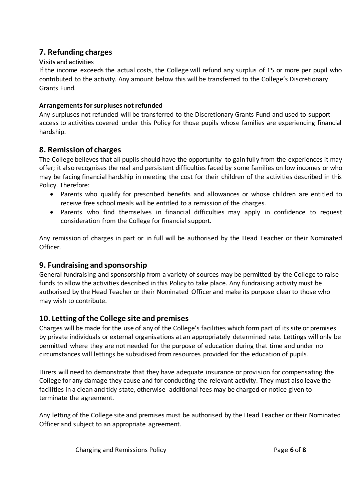### **7. Refunding charges**

#### Visits and activities

If the income exceeds the actual costs, the College will refund any surplus of £5 or more per pupil who contributed to the activity. Any amount below this will be transferred to the College's Discretionary Grants Fund.

#### **Arrangements for surpluses not refunded**

Any surpluses not refunded will be transferred to the Discretionary Grants Fund and used to support access to activities covered under this Policy for those pupils whose families are experiencing financial hardship.

### **8. Remission of charges**

The College believes that all pupils should have the opportunity to gain fully from the experiences it may offer; it also recognises the real and persistent difficulties faced by some families on low incomes or who may be facing financial hardship in meeting the cost for their children of the activities described in this Policy. Therefore:

- Parents who qualify for prescribed benefits and allowances or whose children are entitled to receive free school meals will be entitled to a remission of the charges.
- Parents who find themselves in financial difficulties may apply in confidence to request consideration from the College for financial support.

Any remission of charges in part or in full will be authorised by the Head Teacher or their Nominated Officer.

#### **9. Fundraising and sponsorship**

General fundraising and sponsorship from a variety of sources may be permitted by the College to raise funds to allow the activities described in this Policy to take place. Any fundraising activity must be authorised by the Head Teacher or their Nominated Officer and make its purpose clear to those who may wish to contribute.

### **10. Letting of the College site and premises**

Charges will be made for the use of any of the College's facilities which form part of its site or premises by private individuals or external organisations at an appropriately determined rate. Lettings will only be permitted where they are not needed for the purpose of education during that time and under no circumstances will lettings be subsidised from resources provided for the education of pupils.

Hirers will need to demonstrate that they have adequate insurance or provision for compensating the College for any damage they cause and for conducting the relevant activity. They must also leave the facilities in a clean and tidy state, otherwise additional fees may be charged or notice given to terminate the agreement.

Any letting of the College site and premises must be authorised by the Head Teacher or their Nominated Officer and subject to an appropriate agreement.

Charging and Remissions Policy Page **6** of **8**